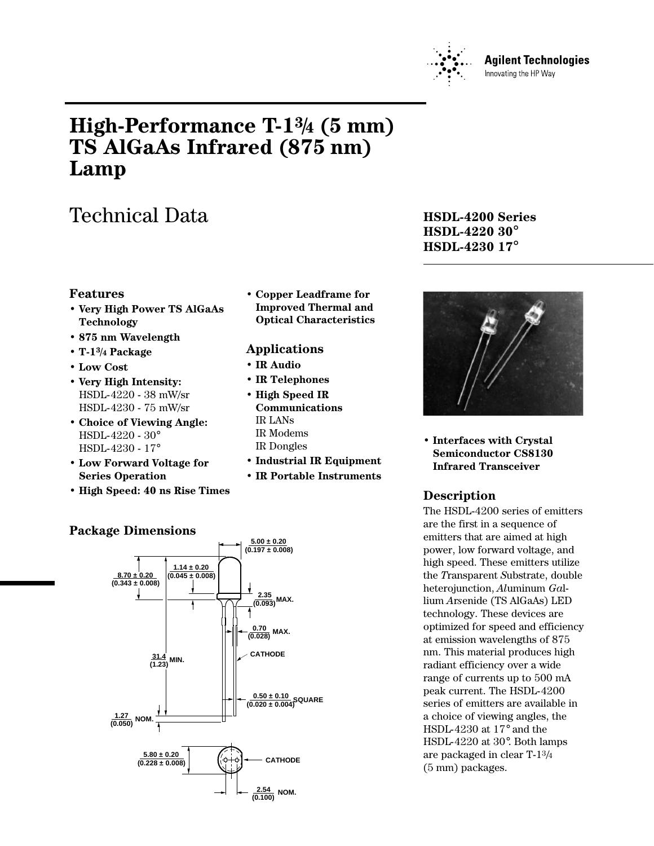

#### **Agilent Technologies** Innovating the HP Way

# **High-Performance T-13/4 (5 mm) TS AlGaAs Infrared (875 nm) Lamp**

# Technical Data **HSDL-4200 Series**

### **Features**

- **Very High Power TS AlGaAs Technology**
- **875 nm Wavelength**
- **T-13/4 Package**
- **Low Cost**
- **Very High Intensity:** HSDL-4220 - 38 mW/sr HSDL-4230 - 75 mW/sr
- **Choice of Viewing Angle:** HSDL-4220 - 30° HSDL-4230 - 17°
- **Low Forward Voltage for Series Operation**
- **High Speed: 40 ns Rise Times**

#### **• Copper Leadframe for Improved Thermal and Optical Characteristics**

### **Applications**

**• IR Audio**

**5.00 ± 0.20**

- **IR Telephones**
- **High Speed IR Communications** IR LANs IR Modems IR Dongles
- **Industrial IR Equipment**
- **IR Portable Instruments**

# **HSDL-4220 30**° **HSDL-4230 17**°



**• Interfaces with Crystal Semiconductor CS8130 Infrared Transceiver**

### **Description**

The HSDL-4200 series of emitters are the first in a sequence of emitters that are aimed at high power, low forward voltage, and high speed. These emitters utilize the *T*ransparent *S*ubstrate, double heterojunction, *Al*uminum *Ga*llium *A*r*s*enide (TS AlGaAs) LED technology. These devices are optimized for speed and efficiency at emission wavelengths of 875 nm. This material produces high radiant efficiency over a wide range of currents up to 500 mA peak current. The HSDL-4200 series of emitters are available in a choice of viewing angles, the HSDL-4230 at 17° and the HSDL-4220 at 30°. Both lamps are packaged in clear T-13/4 (5 mm) packages.



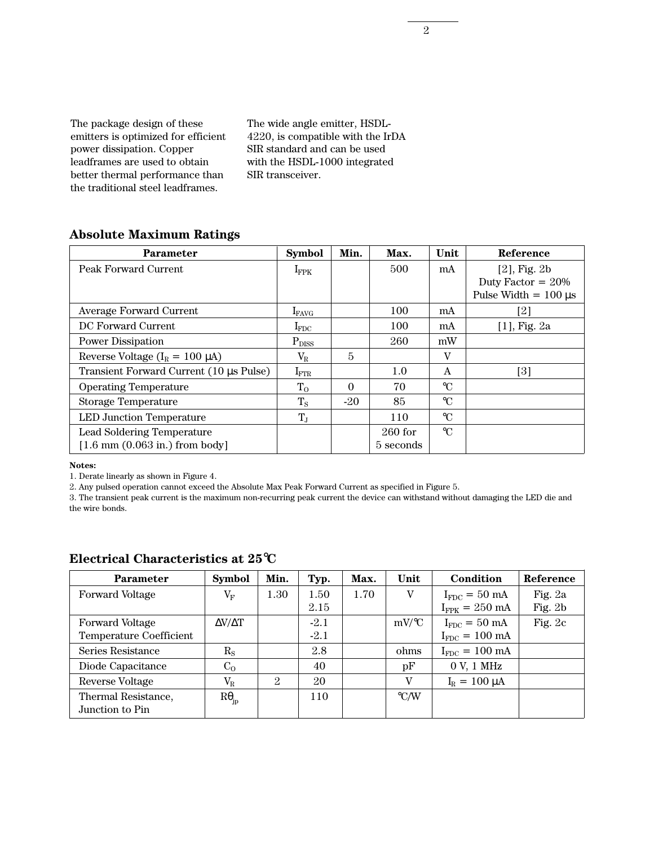The package design of these emitters is optimized for efficient power dissipation. Copper leadframes are used to obtain better thermal performance than the traditional steel leadframes.

The wide angle emitter, HSDL-4220, is compatible with the IrDA SIR standard and can be used with the HSDL-1000 integrated SIR transceiver.

### **Absolute Maximum Ratings**

| <b>Parameter</b>                                          | <b>Symbol</b>    | Min.     | Max.      | Unit            | Reference                 |
|-----------------------------------------------------------|------------------|----------|-----------|-----------------|---------------------------|
| Peak Forward Current                                      | $I_{\rm FPK}$    |          | 500       | mA              | $[2]$ , Fig. $2b$         |
|                                                           |                  |          |           |                 | Duty Factor = $20\%$      |
|                                                           |                  |          |           |                 | Pulse Width $= 100 \mu s$ |
| Average Forward Current                                   | $I_{\rm FAVG}$   |          | 100       | mA              | [2]                       |
| DC Forward Current                                        | $I_{FDC}$        |          | 100       | mA              | $[1]$ , Fig. 2a           |
| <b>Power Dissipation</b>                                  | $P_{DISS}$       |          | 260       | mW              |                           |
| Reverse Voltage ( $I_R = 100 \mu A$ )                     | $\rm V_R$        | 5        |           | V               |                           |
| Transient Forward Current (10 µs Pulse)                   | $I_{\text{FTR}}$ |          | 1.0       | A               | [3]                       |
| <b>Operating Temperature</b>                              | $T_{O}$          | $\Omega$ | 70        | $\rm ^{\circ}C$ |                           |
| <b>Storage Temperature</b>                                | $T_{\rm S}$      | $-20$    | 85        | $\rm ^{\circ}C$ |                           |
| <b>LED Junction Temperature</b>                           | $T_{J}$          |          | 110       | $\mathrm{C}$    |                           |
| <b>Lead Soldering Temperature</b>                         |                  |          | $260$ for | $\mathrm{C}$    |                           |
| $[1.6 \text{ mm } (0.063 \text{ in.}) \text{ from body}]$ |                  |          | 5 seconds |                 |                           |

**Notes:**

1. Derate linearly as shown in Figure 4.

2. Any pulsed operation cannot exceed the Absolute Max Peak Forward Current as specified in Figure 5.

3. The transient peak current is the maximum non-recurring peak current the device can withstand without damaging the LED die and the wire bonds.

| <b>Parameter</b>                       | <b>Symbol</b>       | Min.           | Typ.   | Max. | Unit                | Condition                  | Reference |
|----------------------------------------|---------------------|----------------|--------|------|---------------------|----------------------------|-----------|
| Forward Voltage                        | $\rm V_F$           | 1.30           | 1.50   | 1.70 | V                   | $I_{FDC} = 50$ mA          | Fig. 2a   |
|                                        |                     |                | 2.15   |      |                     | $I_{FPK} = 250 \text{ mA}$ | Fig. $2b$ |
| Forward Voltage                        | $\Delta V/\Delta T$ |                | $-2.1$ |      | $mV$ <sup>o</sup> C | $I_{FDC} = 50$ mA          | Fig. $2c$ |
| <b>Temperature Coefficient</b>         |                     |                | $-2.1$ |      |                     | $I_{FDC} = 100 \text{ mA}$ |           |
| Series Resistance                      | $\rm R_S$           |                | 2.8    |      | ohms                | $I_{FDC} = 100 \text{ mA}$ |           |
| Diode Capacitance                      | C <sub>O</sub>      |                | 40     |      | pF                  | 0 V, 1 MHz                 |           |
| Reverse Voltage                        | $V_{\rm R}$         | $\overline{2}$ | 20     |      | V                   | $I_R = 100 \mu A$          |           |
| Thermal Resistance,<br>Junction to Pin | $R\theta_{ip}$      |                | 110    |      | $\rm ^{\circ}$ C/W  |                            |           |

#### **Electrical Characteristics at 25**°**C**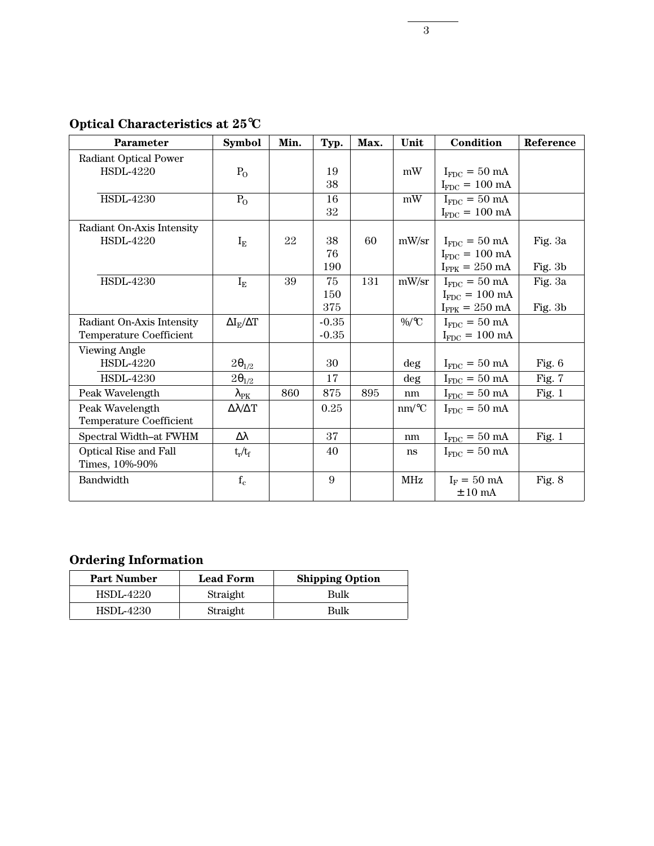**Optical Characteristics at 25**°**C**

| <b>Parameter</b>             | <b>Symbol</b>               | Min. | Typ.    | Max. | Unit       | Condition                         | Reference |
|------------------------------|-----------------------------|------|---------|------|------------|-----------------------------------|-----------|
| <b>Radiant Optical Power</b> |                             |      |         |      |            |                                   |           |
| <b>HSDL-4220</b>             | $P_{O}$                     |      | 19      |      | mW         | $I_{FDC} = 50$ mA                 |           |
|                              |                             |      | 38      |      |            | $I_{FDC} = 100 \text{ mA}$        |           |
| <b>HSDL-4230</b>             | $P_{O}$                     |      | 16      |      | mW         | $I_{FDC} = 50$ mA                 |           |
|                              |                             |      | 32      |      |            | $I_{FDC} = 100 \text{ mA}$        |           |
| Radiant On-Axis Intensity    |                             |      |         |      |            |                                   |           |
| <b>HSDL-4220</b>             | $I_{E}$                     | 22   | 38      | 60   | mW/sr      | $I_{FDC} = 50$ mA                 | Fig. 3a   |
|                              |                             |      | 76      |      |            | $I_{FDC} = 100$ mA                |           |
|                              |                             |      | 190     |      |            | $I_{\text{FPK}} = 250 \text{ mA}$ | Fig. $3b$ |
| <b>HSDL-4230</b>             | $I_{E}$                     | 39   | 75      | 131  | mW/sr      | $I_{FDC} = 50$ mA                 | Fig. 3a   |
|                              |                             |      | 150     |      |            | $I_{FDC} = 100 \text{ mA}$        |           |
|                              |                             |      | 375     |      |            | $I_{FPK} = 250$ mA                | Fig. 3b   |
| Radiant On-Axis Intensity    | $\Delta I_{\rm E}/\Delta T$ |      | $-0.35$ |      | $\%$ /°C   | $I_{FDC} = 50$ mA                 |           |
| Temperature Coefficient      |                             |      | $-0.35$ |      |            | $I_{FDC} = 100 \text{ mA}$        |           |
| <b>Viewing Angle</b>         |                             |      |         |      |            |                                   |           |
| <b>HSDL-4220</b>             | $2\theta_{1/2}$             |      | 30      |      | deg        | $I_{FDC} = 50$ mA                 | Fig. $6$  |
| <b>HSDL-4230</b>             | $2\theta_{1/2}$             |      | 17      |      | deg        | $I_{FDC} = 50$ mA                 | Fig. 7    |
| Peak Wavelength              | $\lambda_{\rm PK}$          | 860  | 875     | 895  | nm         | $I_{FDC} = 50$ mA                 | Fig. $1$  |
| Peak Wavelength              | $\Delta\lambda/\Delta T$    |      | 0.25    |      | $nm$ /°C   | $I_{FDC} = 50$ mA                 |           |
| Temperature Coefficient      |                             |      |         |      |            |                                   |           |
| Spectral Width-at FWHM       | $\Delta \lambda$            |      | 37      |      | nm         | $I_{FDC} = 50$ mA                 | Fig. $1$  |
| Optical Rise and Fall        | $t_r/t_f$                   |      | 40      |      | ns         | $I_{FDC} = 50$ mA                 |           |
| Times, 10%-90%               |                             |      |         |      |            |                                   |           |
| Bandwidth                    | $f_c$                       |      | 9       |      | <b>MHz</b> | $I_F = 50$ mA                     | Fig. 8    |
|                              |                             |      |         |      |            | $± 10$ mA                         |           |

## **Ordering Information**

| <b>Part Number</b> | <b>Lead Form</b> | <b>Shipping Option</b> |
|--------------------|------------------|------------------------|
| HSDL-4220          | Straight         | Bulk                   |
| HSDL-4230          | Straight         | Bulk                   |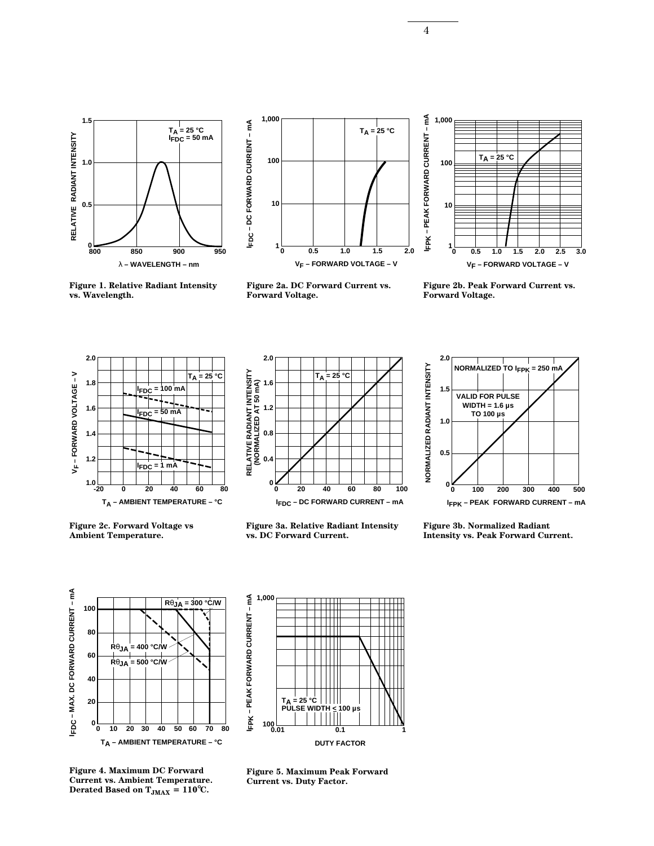



**Figure 1. Relative Radiant Intensity**

**vs. Wavelength.**



**Figure 2a. DC Forward Current vs. Forward Voltage.**



**Figure 2b. Peak Forward Current vs. Forward Voltage.**



**Figure 2c. Forward Voltage vs Ambient Temperature.**



**Figure 3a. Relative Radiant Intensity vs. DC Forward Current.**

**1,000**



**Figure 3b. Normalized Radiant Intensity vs. Peak Forward Current.**



**FPK - PEAK FORWARD CURRENT - mA IFPK – PEAK FORWARD CURRENT – mA TA = 25 °C PULSE WIDTH < 100 µs 0.01 100 0.1 1 DUTY FACTOR**

**Figure 4. Maximum DC Forward Current vs. Ambient Temperature. Derated Based on**  $T_{JMAX} = 110^{\circ}C$ **.** 

**Figure 5. Maximum Peak Forward Current vs. Duty Factor.**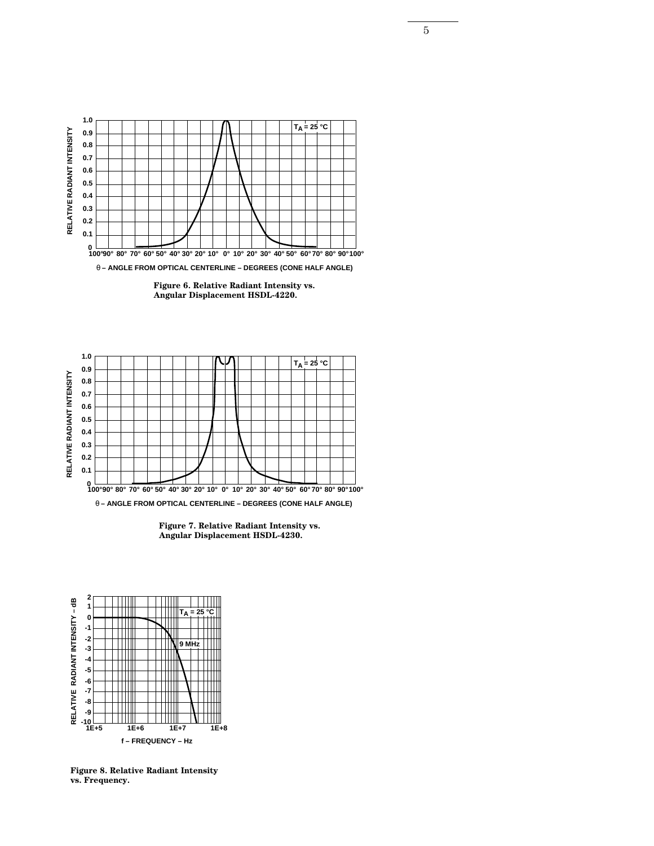





**Figure 7. Relative Radiant Intensity vs. Angular Displacement HSDL-4230.**



**Figure 8. Relative Radiant Intensity vs. Frequency.**

5